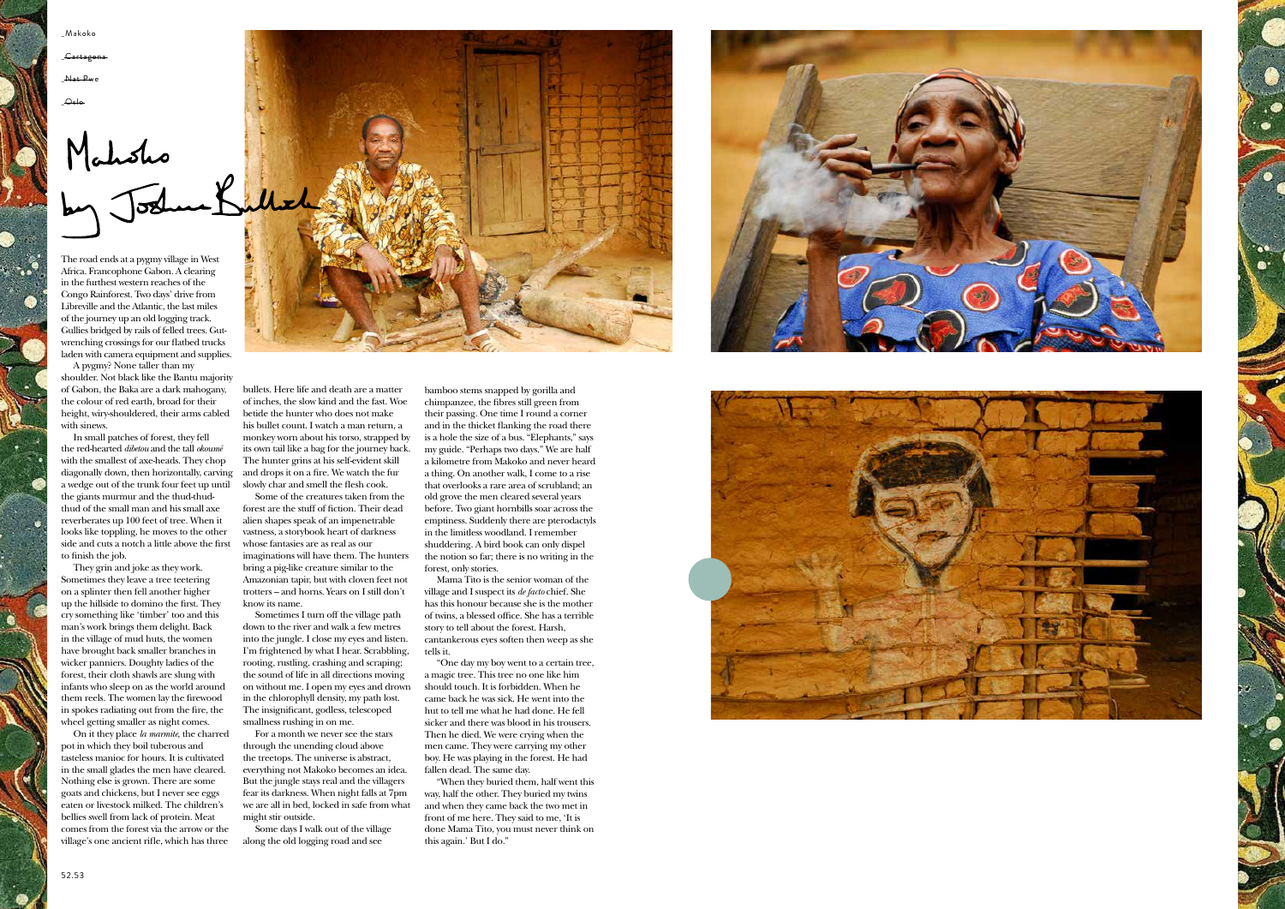

The road ends at a pygmy village in West Africa. Francophone Gabon. A clearing in the furthest western reaches of the Congo Rainforest. Two days' drive from Libreville and the Atlantic, the last miles of the journey up an old logging track. Gullies bridged by rails of felled trees. Gutwrenching crossings for our flatbed trucks laden with camera equipment and supplies.

A pygmy? None taller than my shoulder. Not black like the Bantu majority of Gabon, the Baka are a dark mahogany, the colour of red earth, broad for their height, wiry-shouldered, their arms cabled with sinews.

In small patches of forest, they fell the red-hearted *dibetou* and the tall *okoumé* with the smallest of axe-heads. They chop diagonally down, then horizontally, carving a wedge out of the trunk four feet up until the giants murmur and the thud-thudthud of the small man and his small axe reverberates up 100 feet of tree. When it looks like toppling, he moves to the other side and cuts a notch a little above the first to finish the job.

They grin and joke as they work. Sometimes they leave a tree teetering on a splinter then fell another higher up the hillside to domino the first. They cry something like 'timber' too and this man's work brings them delight. Back in the village of mud huts, the women have brought back smaller branches in wicker panniers. Doughty ladies of the forest, their cloth shawls are slung with infants who sleep on as the world around them reels. The women lay the firewood in spokes radiating out from the fire, the wheel getting smaller as night comes.

On it they place *la marmite*, the charred pot in which they boil tuberous and tasteless manioc for hours. It is cultivated in the small glades the men have cleared. Nothing else is grown. There are some goats and chickens, but I never see eggs eaten or livestock milked. The children's bellies swell from lack of protein. Meat comes from the forest via the arrow or the village's one ancient rifle, which has three



bullets. Here life and death are a matter of inches, the slow kind and the fast. Woe betide the hunter who does not make his bullet count. I watch a man return, a monkey worn about his torso, strapped by its own tail like a bag for the journey back. The hunter grins at his self-evident skill and drops it on a fire. We watch the fur slowly char and smell the flesh cook.

Some of the creatures taken from the forest are the stuff of fiction. Their dead alien shapes speak of an impenetrable vastness, a storybook heart of darkness whose fantasies are as real as our imaginations will have them. The hunters bring a pig-like creature similar to the Amazonian tapir, but with cloven feet not trotters – and horns. Years on I still don't know its name.

Sometimes I turn off the village path down to the river and walk a few metres into the jungle. I close my eyes and listen. I'm frightened by what I hear. Scrabbling, rooting, rustling, crashing and scraping; the sound of life in all directions moving on without me. I open my eyes and drown in the chlorophyll density, my path lost. The insignificant, godless, telescoped smallness rushing in on me.

For a month we never see the stars through the unending cloud above the treetops. The universe is abstract, everything not Makoko becomes an idea. But the jungle stays real and the villagers fear its darkness. When night falls at 7pm we are all in bed, locked in safe from what might stir outside.

Some days I walk out of the village along the old logging road and see



bamboo stems snapped by gorilla and chimpanzee, the fibres still green from their passing. One time I round a corner and in the thicket flanking the road there is a hole the size of a bus. "Elephants," says my guide. "Perhaps two days." We are half a kilometre from Makoko and never heard a thing. On another walk, I come to a rise that overlooks a rare area of scrubland; an old grove the men cleared several years before. Two giant hornbills soar across the emptiness. Suddenly there are pterodactyls in the limitless woodland. I remember shuddering. A bird book can only dispel the notion so far; there is no writing in the forest, only stories.

Mama Tito is the senior woman of the village and I suspect its *de facto* chief. She has this honour because she is the mother of twins, a blessed office. She has a terrible story to tell about the forest. Harsh, cantankerous eyes soften then weep as she tells it.

"One day my boy went to a certain tree, a magic tree. This tree no one like him should touch. It is forbidden. When he came back he was sick. He went into the hut to tell me what he had done. He fell sicker and there was blood in his trousers. Then he died. We were crying when the men came. They were carrying my other boy. He was playing in the forest. He had fallen dead. The same day.

"When they buried them, half went this way, half the other. They buried my twins and when they came back the two met in front of me here. They said to me, 'It is done Mama Tito, you must never think on this again.' But I do."



\_Makoko

\_Cartagena

Nat Pwe

 $\Theta$ slo-

## Mahoho<br>by Joshuak